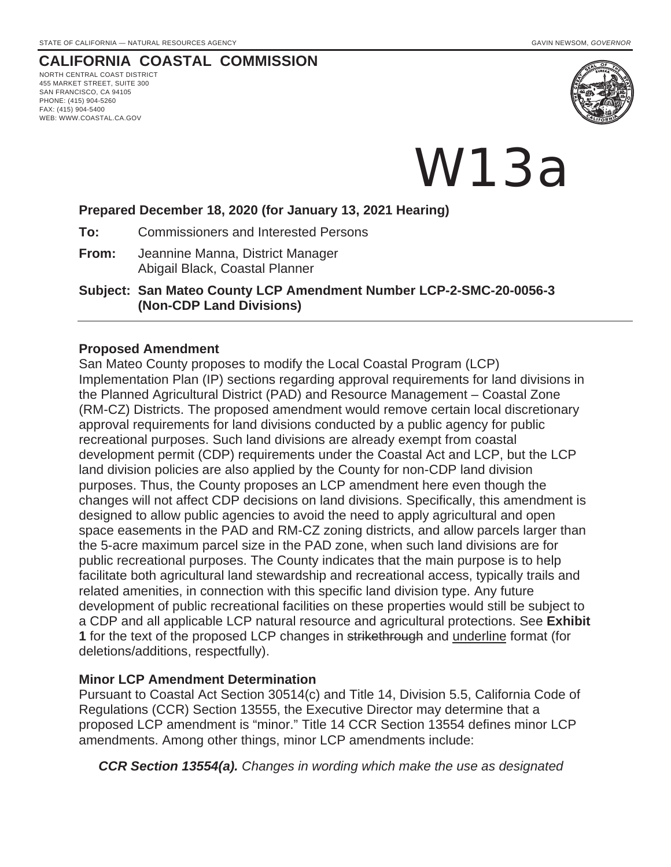# **CALIFORNIA COASTAL COMMISSION**

NORTH CENTRAL COAST DISTRICT 455 MARKET STREET, SUITE 300 SAN FRANCISCO, CA 94105 PHONE: (415) 904-5260 FAX: (415) 904-5400 WEB: WWW.COASTAL.CA.GOV



W13a

### **Prepared December 18, 2020 (for January 13, 2021 Hearing)**

**To:** Commissioners and Interested Persons

**From:** Jeannine Manna, District Manager Abigail Black, Coastal Planner

**Subject: San Mateo County LCP Amendment Number LCP-2-SMC-20-0056-3 (Non-CDP Land Divisions)**

#### **Proposed Amendment**

San Mateo County proposes to modify the Local Coastal Program (LCP) Implementation Plan (IP) sections regarding approval requirements for land divisions in the Planned Agricultural District (PAD) and Resource Management – Coastal Zone (RM-CZ) Districts. The proposed amendment would remove certain local discretionary approval requirements for land divisions conducted by a public agency for public recreational purposes. Such land divisions are already exempt from coastal development permit (CDP) requirements under the Coastal Act and LCP, but the LCP land division policies are also applied by the County for non-CDP land division purposes. Thus, the County proposes an LCP amendment here even though the changes will not affect CDP decisions on land divisions. Specifically, this amendment is designed to allow public agencies to avoid the need to apply agricultural and open space easements in the PAD and RM-CZ zoning districts, and allow parcels larger than the 5-acre maximum parcel size in the PAD zone, when such land divisions are for public recreational purposes. The County indicates that the main purpose is to help facilitate both agricultural land stewardship and recreational access, typically trails and related amenities, in connection with this specific land division type. Any future development of public recreational facilities on these properties would still be subject to a CDP and all applicable LCP natural resource and agricultural protections. See **Exhibit 1** for the text of the proposed LCP changes in strikethrough and underline format (for deletions/additions, respectfully).

### **Minor LCP Amendment Determination**

Pursuant to Coastal Act Section 30514(c) and Title 14, Division 5.5, California Code of Regulations (CCR) Section 13555, the Executive Director may determine that a proposed LCP amendment is "minor." Title 14 CCR Section 13554 defines minor LCP amendments. Among other things, minor LCP amendments include:

*CCR Section 13554(a). Changes in wording which make the use as designated*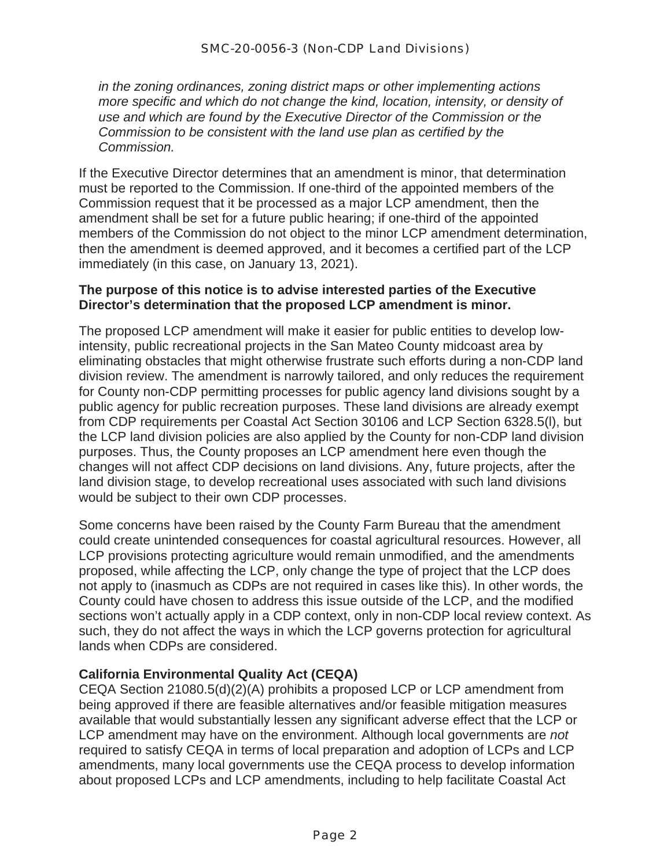*in the zoning ordinances, zoning district maps or other implementing actions more specific and which do not change the kind, location, intensity, or density of use and which are found by the Executive Director of the Commission or the Commission to be consistent with the land use plan as certified by the Commission.* 

If the Executive Director determines that an amendment is minor, that determination must be reported to the Commission. If one-third of the appointed members of the Commission request that it be processed as a major LCP amendment, then the amendment shall be set for a future public hearing; if one-third of the appointed members of the Commission do not object to the minor LCP amendment determination, then the amendment is deemed approved, and it becomes a certified part of the LCP immediately (in this case, on January 13, 2021).

## **The purpose of this notice is to advise interested parties of the Executive Director's determination that the proposed LCP amendment is minor.**

The proposed LCP amendment will make it easier for public entities to develop lowintensity, public recreational projects in the San Mateo County midcoast area by eliminating obstacles that might otherwise frustrate such efforts during a non-CDP land division review. The amendment is narrowly tailored, and only reduces the requirement for County non-CDP permitting processes for public agency land divisions sought by a public agency for public recreation purposes. These land divisions are already exempt from CDP requirements per Coastal Act Section 30106 and LCP Section 6328.5(l), but the LCP land division policies are also applied by the County for non-CDP land division purposes. Thus, the County proposes an LCP amendment here even though the changes will not affect CDP decisions on land divisions. Any, future projects, after the land division stage, to develop recreational uses associated with such land divisions would be subject to their own CDP processes.

Some concerns have been raised by the County Farm Bureau that the amendment could create unintended consequences for coastal agricultural resources. However, all LCP provisions protecting agriculture would remain unmodified, and the amendments proposed, while affecting the LCP, only change the type of project that the LCP does not apply to (inasmuch as CDPs are not required in cases like this). In other words, the County could have chosen to address this issue outside of the LCP, and the modified sections won't actually apply in a CDP context, only in non-CDP local review context. As such, they do not affect the ways in which the LCP governs protection for agricultural lands when CDPs are considered.

## **California Environmental Quality Act (CEQA)**

CEQA Section 21080.5(d)(2)(A) prohibits a proposed LCP or LCP amendment from being approved if there are feasible alternatives and/or feasible mitigation measures available that would substantially lessen any significant adverse effect that the LCP or LCP amendment may have on the environment. Although local governments are *not* required to satisfy CEQA in terms of local preparation and adoption of LCPs and LCP amendments, many local governments use the CEQA process to develop information about proposed LCPs and LCP amendments, including to help facilitate Coastal Act